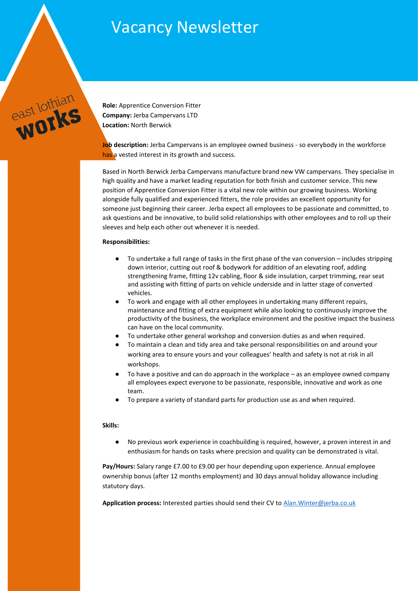# Vacancy Newsletter



**Role:** Apprentice Conversion Fitter **Company:** Jerba Campervans LTD **Location:** North Berwick

**Job description:** Jerba Campervans is an employee owned business - so everybody in the workforce has a vested interest in its growth and success.

Based in North Berwick Jerba Campervans manufacture brand new VW campervans. They specialise in high quality and have a market leading reputation for both finish and customer service. This new position of Apprentice Conversion Fitter is a vital new role within our growing business. Working alongside fully qualified and experienced fitters, the role provides an excellent opportunity for someone just beginning their career. Jerba expect all employees to be passionate and committed, to ask questions and be innovative, to build solid relationships with other employees and to roll up their sleeves and help each other out whenever it is needed.

### **Responsibilities:**

- To undertake a full range of tasks in the first phase of the van conversion includes stripping down interior, cutting out roof & bodywork for addition of an elevating roof, adding strengthening frame, fitting 12v cabling, floor & side insulation, carpet trimming, rear seat and assisting with fitting of parts on vehicle underside and in latter stage of converted vehicles.
- To work and engage with all other employees in undertaking many different repairs, maintenance and fitting of extra equipment while also looking to continuously improve the productivity of the business, the workplace environment and the positive impact the business can have on the local community.
- To undertake other general workshop and conversion duties as and when required.
- To maintain a clean and tidy area and take personal responsibilities on and around your working area to ensure yours and your colleagues' health and safety is not at risk in all workshops.
- To have a positive and can do approach in the workplace as an employee owned company all employees expect everyone to be passionate, responsible, innovative and work as one team.
- To prepare a variety of standard parts for production use as and when required.

### **Skills:**

● No previous work experience in coachbuilding is required, however, a proven interest in and enthusiasm for hands on tasks where precision and quality can be demonstrated is vital.

**Pay/Hours:** Salary range £7.00 to £9.00 per hour depending upon experience. Annual employee ownership bonus (after 12 months employment) and 30 days annual holiday allowance including statutory days.

**Application process:** Interested parties should send their CV to [Alan.Winter@jerba.co.uk](mailto:Alan.Winter@jerba.co.uk)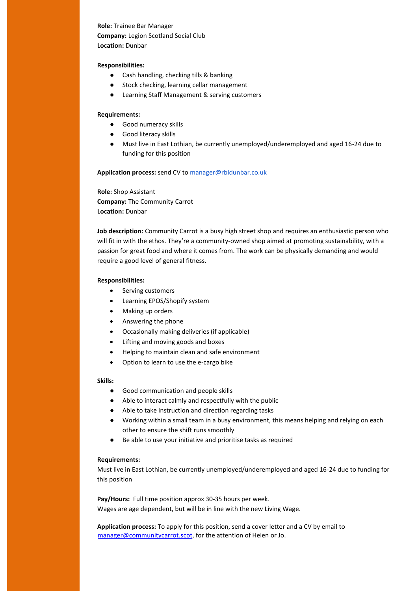# **Role:** Trainee Bar Manager **Company:** Legion Scotland Social Club **Location:** Dunbar

# **Responsibilities:**

- Cash handling, checking tills & banking
- Stock checking, learning cellar management
- Learning Staff Management & serving customers

# **Requirements:**

- Good numeracy skills
- Good literacy skills
- Must live in East Lothian, be currently unemployed/underemployed and aged 16-24 due to funding for this position

**Application process:** send CV t[o manager@rbldunbar.co.uk](mailto:manager@rbldunbar.co.uk)

**Role:** Shop Assistant **Company:** The Community Carrot **Location:** Dunbar

**Job description:** Community Carrot is a busy high street shop and requires an enthusiastic person who will fit in with the ethos. They're a community-owned shop aimed at promoting sustainability, with a passion for great food and where it comes from. The work can be physically demanding and would require a good level of general fitness.

# **Responsibilities:**

- Serving customers
- Learning EPOS/Shopify system
- Making up orders
- Answering the phone
- Occasionally making deliveries (if applicable)
- Lifting and moving goods and boxes
- Helping to maintain clean and safe environment
- Option to learn to use the e-cargo bike

### **Skills:**

- Good communication and people skills
- Able to interact calmly and respectfully with the public
- Able to take instruction and direction regarding tasks
- Working within a small team in a busy environment, this means helping and relying on each other to ensure the shift runs smoothly
- Be able to use your initiative and prioritise tasks as required

#### **Requirements:**

Must live in East Lothian, be currently unemployed/underemployed and aged 16-24 due to funding for this position

**Pay/Hours:** Full time position approx 30-35 hours per week. Wages are age dependent, but will be in line with the new Living Wage.

**Application process:** To apply for this position, send a cover letter and a CV by email to manager@communitycarrot.scot, for the attention of Helen or Jo.